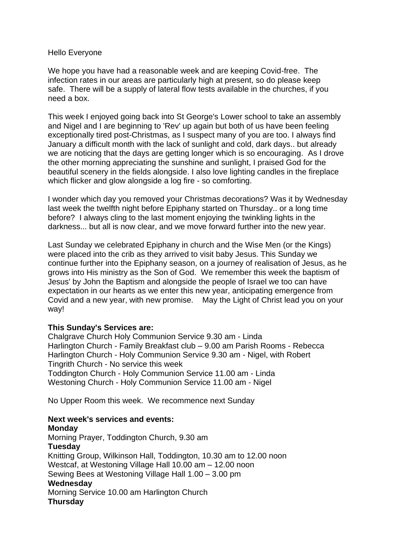## Hello Everyone

We hope you have had a reasonable week and are keeping Covid-free. The infection rates in our areas are particularly high at present, so do please keep safe. There will be a supply of lateral flow tests available in the churches, if you need a box.

This week I enjoyed going back into St George's Lower school to take an assembly and Nigel and I are beginning to 'Rev' up again but both of us have been feeling exceptionally tired post-Christmas, as I suspect many of you are too. I always find January a difficult month with the lack of sunlight and cold, dark days.. but already we are noticing that the days are getting longer which is so encouraging. As I drove the other morning appreciating the sunshine and sunlight, I praised God for the beautiful scenery in the fields alongside. I also love lighting candles in the fireplace which flicker and glow alongside a log fire - so comforting.

I wonder which day you removed your Christmas decorations? Was it by Wednesday last week the twelfth night before Epiphany started on Thursday.. or a long time before? I always cling to the last moment enjoying the twinkling lights in the darkness... but all is now clear, and we move forward further into the new year.

Last Sunday we celebrated Epiphany in church and the Wise Men (or the Kings) were placed into the crib as they arrived to visit baby Jesus. This Sunday we continue further into the Epiphany season, on a journey of realisation of Jesus, as he grows into His ministry as the Son of God. We remember this week the baptism of Jesus' by John the Baptism and alongside the people of Israel we too can have expectation in our hearts as we enter this new year, anticipating emergence from Covid and a new year, with new promise. May the Light of Christ lead you on your way!

## **This Sunday's Services are:**

Chalgrave Church Holy Communion Service 9.30 am - Linda Harlington Church - Family Breakfast club – 9.00 am Parish Rooms - Rebecca Harlington Church - Holy Communion Service 9.30 am - Nigel, with Robert Tingrith Church - No service this week Toddington Church - Holy Communion Service 11.00 am - Linda Westoning Church - Holy Communion Service 11.00 am - Nigel

No Upper Room this week. We recommence next Sunday

## **Next week's services and events:**

**Monday** Morning Prayer, Toddington Church, 9.30 am **Tuesday** Knitting Group, Wilkinson Hall, Toddington, 10.30 am to 12.00 noon Westcaf, at Westoning Village Hall 10.00 am – 12.00 noon Sewing Bees at Westoning Village Hall 1.00 – 3.00 pm **Wednesday** Morning Service 10.00 am Harlington Church **Thursday**